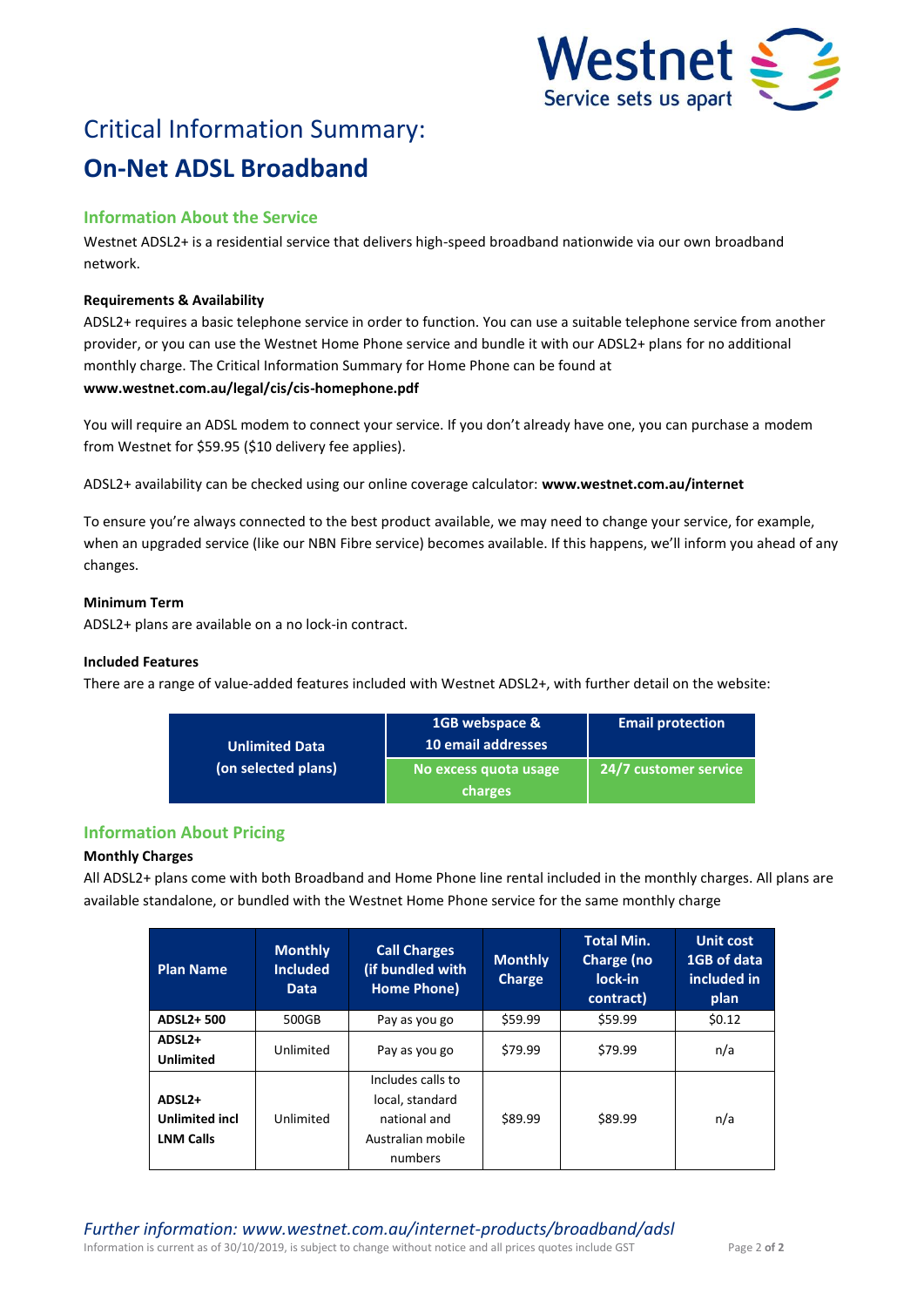

# Critical Information Summary: **On-Net ADSL Broadband**

# **Information About the Service**

Westnet ADSL2+ is a residential service that delivers high-speed broadband nationwide via our own broadband network.

# **Requirements & Availability**

ADSL2+ requires a basic telephone service in order to function. You can use a suitable telephone service from another provider, or you can use the Westnet Home Phone service and bundle it with our ADSL2+ plans for no additional monthly charge. The Critical Information Summary for Home Phone can be found at **www.westnet.com.au/legal/cis/cis-homephone.pdf**

You will require an ADSL modem to connect your service. If you don't already have one, you can purchase a modem from Westnet for \$59.95 (\$10 delivery fee applies).

ADSL2+ availability can be checked using our online coverage calculator: **www.westnet.com.au/internet**

To ensure you're always connected to the best product available, we may need to change your service, for example, when an upgraded service (like our NBN Fibre service) becomes available. If this happens, we'll inform you ahead of any changes.

# **Minimum Term**

ADSL2+ plans are available on a no lock-in contract.

# **Included Features**

There are a range of value-added features included with Westnet ADSL2+, with further detail on the website:

| <b>Unlimited Data</b> | 1GB webspace &<br>10 email addresses | <b>Email protection</b> |  |
|-----------------------|--------------------------------------|-------------------------|--|
| (on selected plans)   | No excess quota usage                | 24/7 customer service   |  |
|                       | charges                              |                         |  |

# **Information About Pricing**

# **Monthly Charges**

All ADSL2+ plans come with both Broadband and Home Phone line rental included in the monthly charges. All plans are available standalone, or bundled with the Westnet Home Phone service for the same monthly charge

| <b>Plan Name</b>                                                | <b>Monthly</b><br><b>Included</b><br><b>Data</b> | <b>Call Charges</b><br>(if bundled with<br>Home Phone)                               | <b>Monthly</b><br><b>Charge</b> | <b>Total Min.</b><br>Charge (no<br>lock-in<br>contract) | <b>Unit cost</b><br>1GB of data<br>included in<br>plan |
|-----------------------------------------------------------------|--------------------------------------------------|--------------------------------------------------------------------------------------|---------------------------------|---------------------------------------------------------|--------------------------------------------------------|
| ADSL2+500                                                       | 500GB                                            | Pay as you go                                                                        | \$59.99                         | \$59.99                                                 | \$0.12                                                 |
| ADSL <sub>2+</sub><br><b>Unlimited</b>                          | Unlimited                                        | Pay as you go                                                                        | \$79.99                         | \$79.99                                                 | n/a                                                    |
| ADSL <sub>2+</sub><br><b>Unlimited incl</b><br><b>LNM Calls</b> | Unlimited                                        | Includes calls to<br>local, standard<br>national and<br>Australian mobile<br>numbers | \$89.99                         | \$89.99                                                 | n/a                                                    |